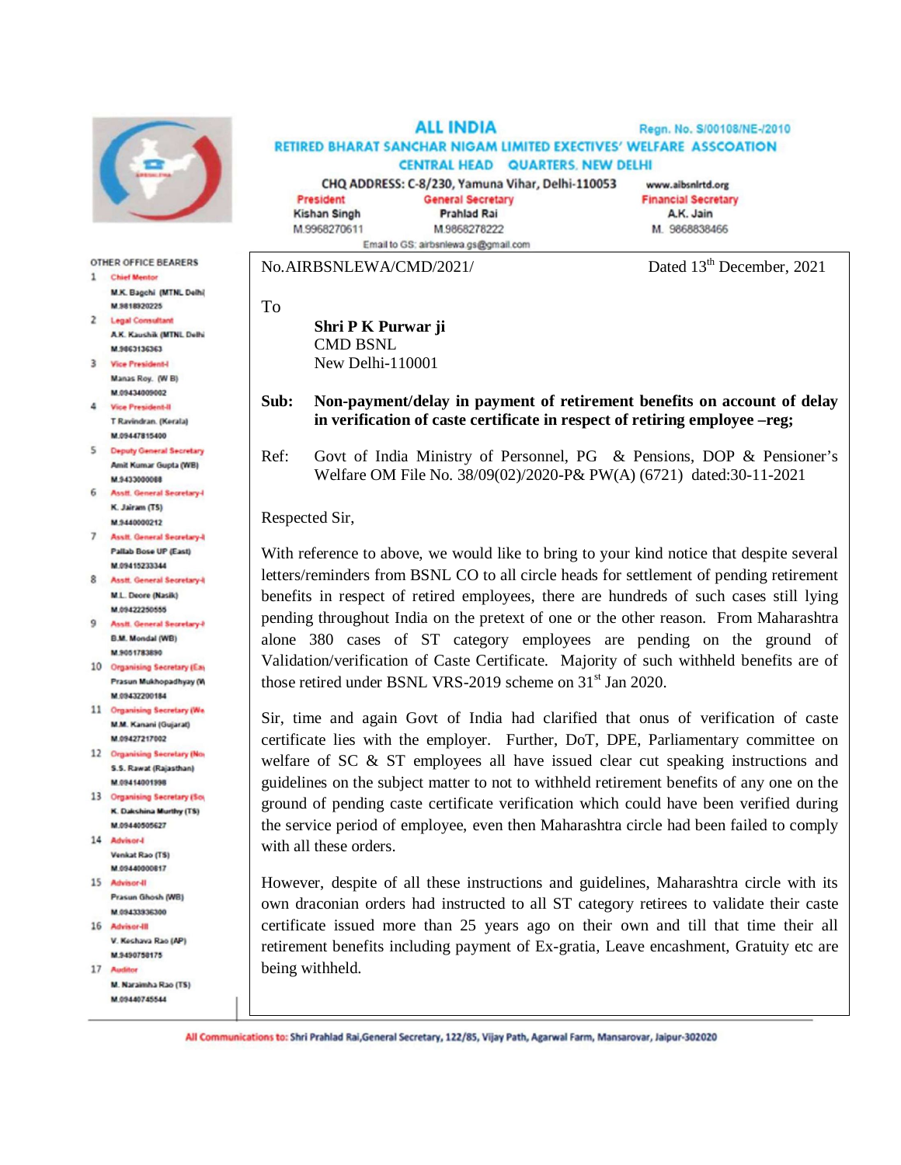

**OTHER OFFICE BEARERS** 

- 1 Chief Mentor M.K. Bagchi (MTNL Delhi) **M 5818920225**
- 2 Legal Consultant A.K. Kaushik (MTNL Delhi M 9863136363
- 3 Vice President-I Manas Roy. (W B) M.09434009002
- 4 Vice President-II T Ravindran, (Kerala) M.09447815400
- 5 Deputy General Secretary Amit Kumar Gupta (WB) M.9433000088
- 6 Asstf. General Secretary-K. Jairam (TS) M.9440000212
- 7 Assit. General Secretary-I Pallab Bose UP (East) M.09415233344
- 8 Asstt, General Secretary-II M.L. Deore (Nasik) M.09422250555
- 9 Assit. General Secretary-F **B.M. Mondal (WB)** M.9051783890
- 10 Organising Secretary (Eas Prasun Mukhopadhyay (W M 09432200184
- 11 Organising Secretary (We M.M. Kanani (Gujarat) M.09427217002
- 12 Organising Secretary (Nor 5.5 Rawat (Rajasthan) M.09414001998
- 13 Organising Secretary (So) K. Dakshina Murthy (TS) M.09440505627
- 14 Advisor-I Venkat Rao (TS) M.09440000817
- 15 Advisor-II Prasun Ghosh (WB) M 0943333300
- 16 Advisor-III V. Keshava Rao (AP) M 9490758175
- 17 Auditor M. Naraimha Rao (TS)
- M.09440745544

**ALL INDIA** Regn. No. S/00108/NE-/2010 RETIRED BHARAT SANCHAR NIGAM LIMITED EXECTIVES' WELFARE ASSCOATION **CENTRAL HEAD QUARTERS, NEW DELHI** CHQ ADDRESS: C-8/230, Yamuna Vihar, Delhi-110053 www.aibsnirtd.org

**General Secretary** 

**Prahlad Rai** 

M.9868278222

President **Kishan Singh** M.9968270611 Email to GS; airbsnlewa.gs@gmail.com

**Financial Secretary** M. 9868838466

No.AIRBSNLEWA/CMD/2021/ Dated 13<sup>th</sup> December, 2021

A.K. Jain

**Shri P K Purwar ji** CMD BSNL New Delhi-110001

## **Sub: Non-payment/delay in payment of retirement benefits on account of delay in verification of caste certificate in respect of retiring employee –reg;**

Ref: Govt of India Ministry of Personnel, PG & Pensions, DOP & Pensioner's Welfare OM File No. 38/09(02)/2020-P& PW(A) (6721) dated:30-11-2021

Respected Sir,

To

With reference to above, we would like to bring to your kind notice that despite several letters/reminders from BSNL CO to all circle heads for settlement of pending retirement benefits in respect of retired employees, there are hundreds of such cases still lying pending throughout India on the pretext of one or the other reason. From Maharashtra alone 380 cases of ST category employees are pending on the ground of Validation/verification of Caste Certificate. Majority of such withheld benefits are of those retired under BSNL VRS-2019 scheme on 31<sup>st</sup> Jan 2020.

Sir, time and again Govt of India had clarified that onus of verification of caste certificate lies with the employer. Further, DoT, DPE, Parliamentary committee on welfare of SC & ST employees all have issued clear cut speaking instructions and guidelines on the subject matter to not to withheld retirement benefits of any one on the ground of pending caste certificate verification which could have been verified during the service period of employee, even then Maharashtra circle had been failed to comply with all these orders.

However, despite of all these instructions and guidelines, Maharashtra circle with its own draconian orders had instructed to all ST category retirees to validate their caste certificate issued more than 25 years ago on their own and till that time their all retirement benefits including payment of Ex-gratia, Leave encashment, Gratuity etc are being withheld.

All Communications to: Shri Prahlad Rai, General Secretary, 122/85, Vijay Path, Agarwal Farm, Mansarovar, Jaipur-302020